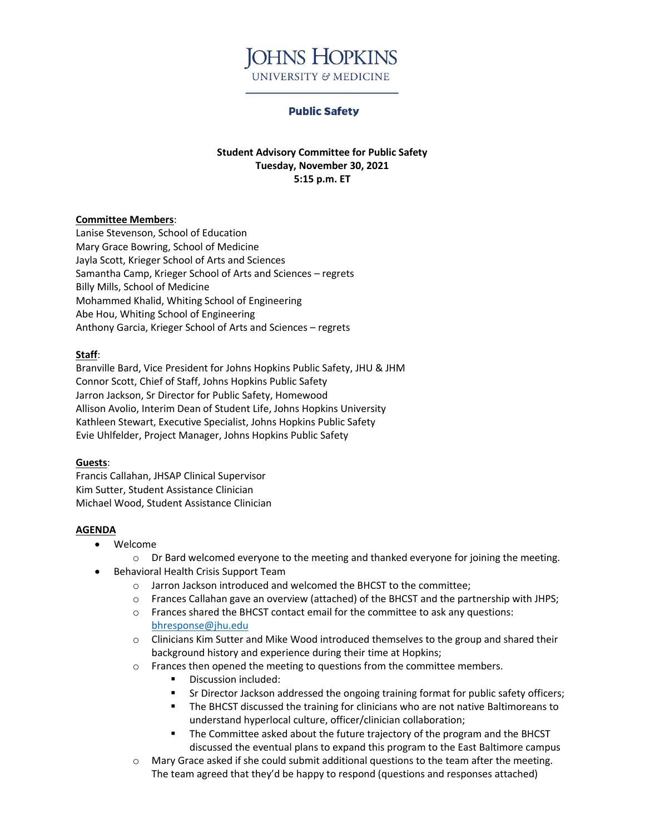

#### **Public Safety**

**Student Advisory Committee for Public Safety Tuesday, November 30, 2021 5:15 p.m. ET**

#### **Committee Members**:

Lanise Stevenson, School of Education Mary Grace Bowring, School of Medicine Jayla Scott, Krieger School of Arts and Sciences Samantha Camp, Krieger School of Arts and Sciences – regrets Billy Mills, School of Medicine Mohammed Khalid, Whiting School of Engineering Abe Hou, Whiting School of Engineering Anthony Garcia, Krieger School of Arts and Sciences – regrets

#### **Staff**:

Branville Bard, Vice President for Johns Hopkins Public Safety, JHU & JHM Connor Scott, Chief of Staff, Johns Hopkins Public Safety Jarron Jackson, Sr Director for Public Safety, Homewood Allison Avolio, Interim Dean of Student Life, Johns Hopkins University Kathleen Stewart, Executive Specialist, Johns Hopkins Public Safety Evie Uhlfelder, Project Manager, Johns Hopkins Public Safety

#### **Guests**:

Francis Callahan, JHSAP Clinical Supervisor Kim Sutter, Student Assistance Clinician Michael Wood, Student Assistance Clinician

#### **AGENDA**

- Welcome
	- $\circ$  Dr Bard welcomed everyone to the meeting and thanked everyone for joining the meeting.
- Behavioral Health Crisis Support Team
	- o Jarron Jackson introduced and welcomed the BHCST to the committee;
	- o Frances Callahan gave an overview (attached) of the BHCST and the partnership with JHPS;
	- o Frances shared the BHCST contact email for the committee to ask any questions: [bhresponse@jhu.edu](mailto:bhresponse@jhu.edu)
	- $\circ$  Clinicians Kim Sutter and Mike Wood introduced themselves to the group and shared their background history and experience during their time at Hopkins;
	- o Frances then opened the meeting to questions from the committee members.
		- **Discussion included:**
		- Sr Director Jackson addressed the ongoing training format for public safety officers;
		- The BHCST discussed the training for clinicians who are not native Baltimoreans to understand hyperlocal culture, officer/clinician collaboration;
		- The Committee asked about the future trajectory of the program and the BHCST discussed the eventual plans to expand this program to the East Baltimore campus
	- $\circ$  Mary Grace asked if she could submit additional questions to the team after the meeting. The team agreed that they'd be happy to respond (questions and responses attached)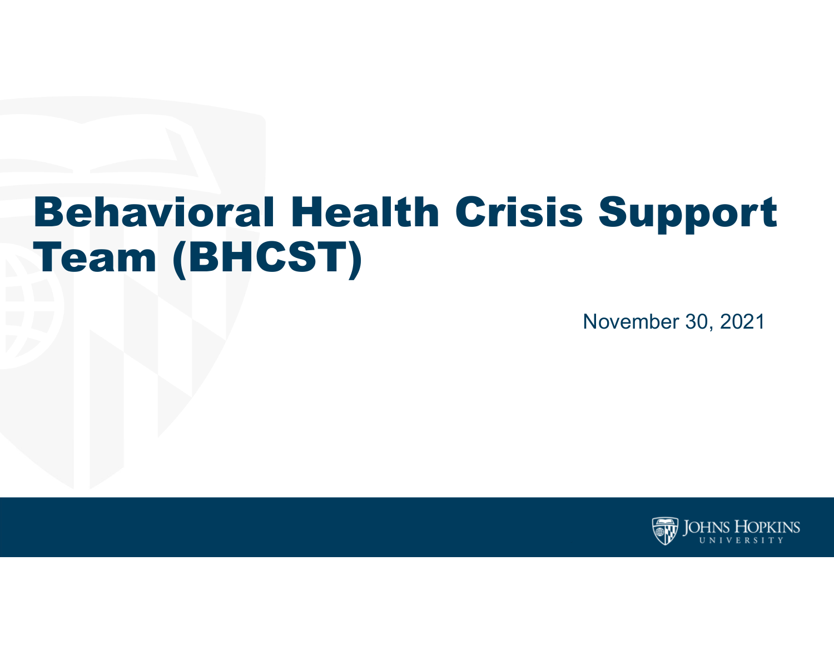# Behavioral Health Crisis Support Team (BHCST)

November 30, 2021

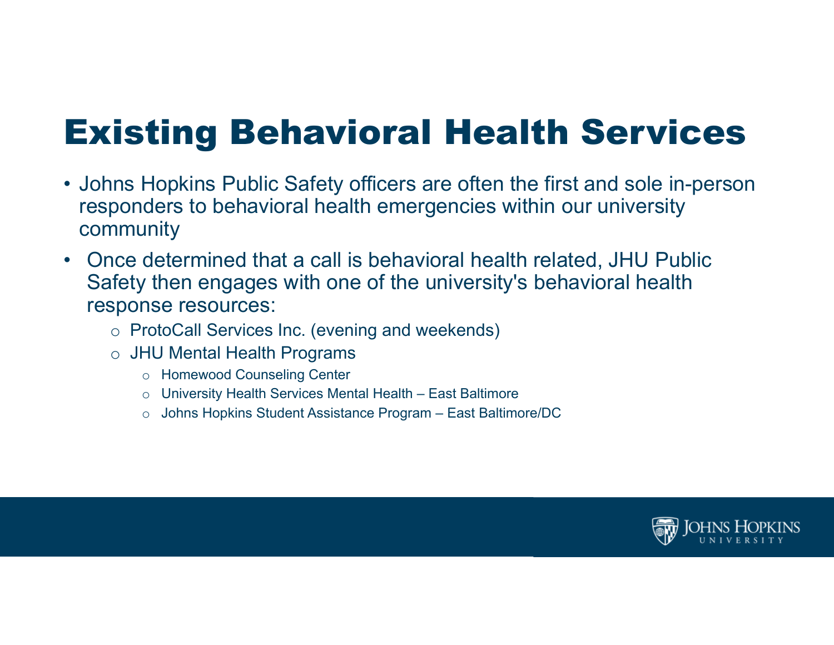## Existing Behavioral Health Services

- Johns Hopkins Public Safety officers are often the first and sole in-person responders to behavioral health emergencies within our university community
- $\bullet$  Once determined that a call is behavioral health related, JHU Public Safety then engages with one of the university's behavioral health response resources:
	- $\, \circ \,$  ProtoCall Services Inc. (evening and weekends)
	- $\, \circ \,$  JHU Mental Health Programs
		- o Homewood Counseling Center
		- $\circ$   $\,$  University Health Services Mental Health East Baltimore
		- $\circ$   $\,$  Johns Hopkins Student Assistance Program East Baltimore/DC  $\,$

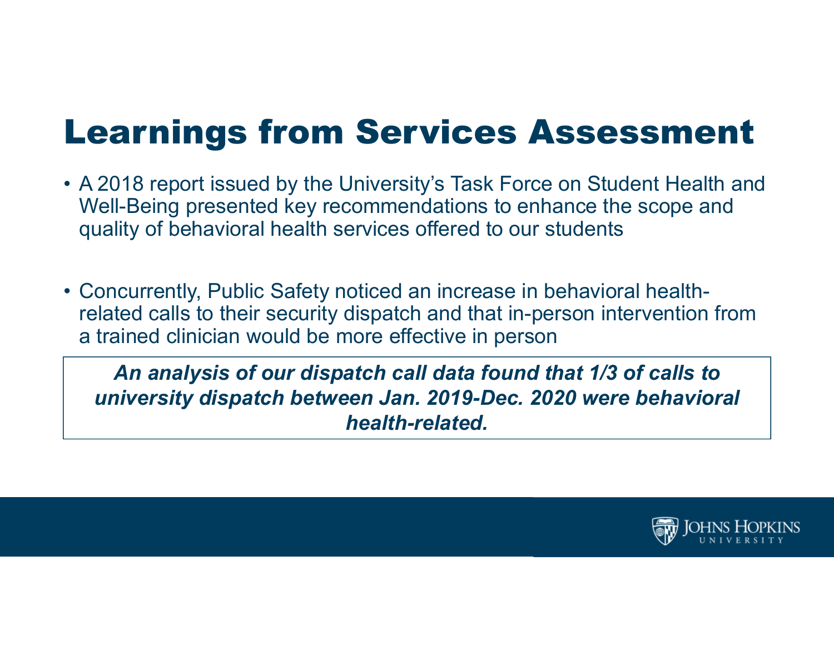Learnings from Services Assessment

- A 2018 report issued by the University's Task Force on Student Health and Well-Being presented key recommendations to enhance the scope and quality of behavioral health services offered to our students
- Concurrently, Public Safety noticed an increase in behavioral healthrelated calls to their security dispatch and that in-person intervention from a trained clinician would be more effective in person

*An analysis of our dispatch call data found that 1/3 of calls to university dispatch between Jan. 2019-Dec. 2020 were behavioral health-related.* 

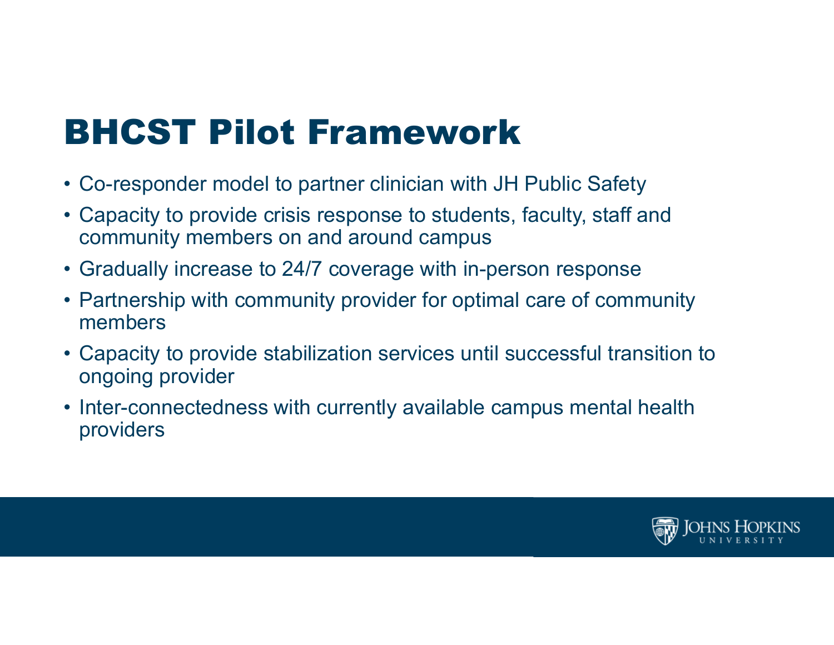## BHCST Pilot Framework

- Co-responder model to partner clinician with JH Public Safety
- Capacity to provide crisis response to students, faculty, staff and community members on and around campus
- Gradually increase to 24/7 coverage with in-person response
- Partnership with community provider for optimal care of community members
- Capacity to provide stabilization services until successful transition to ongoing provider
- Inter-connectedness with currently available campus mental health providers

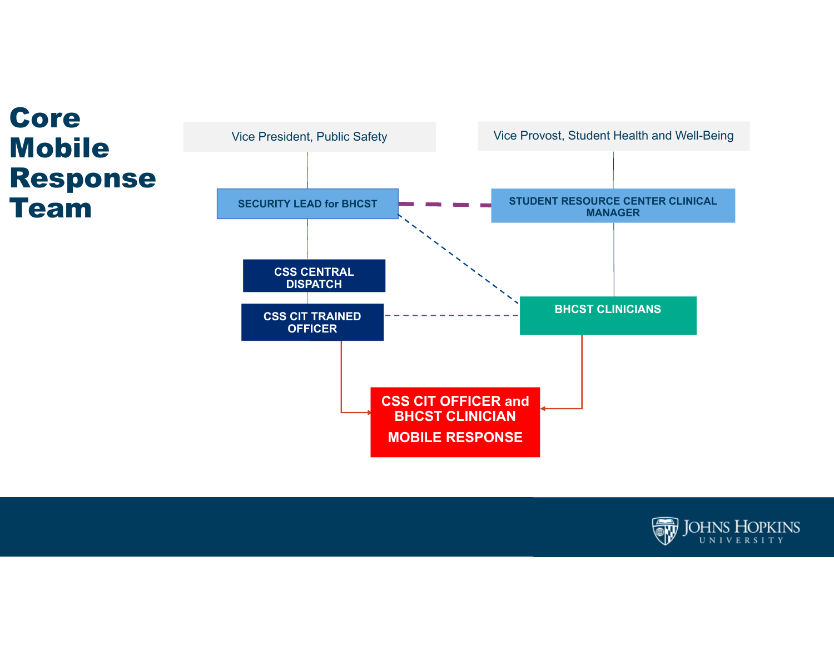



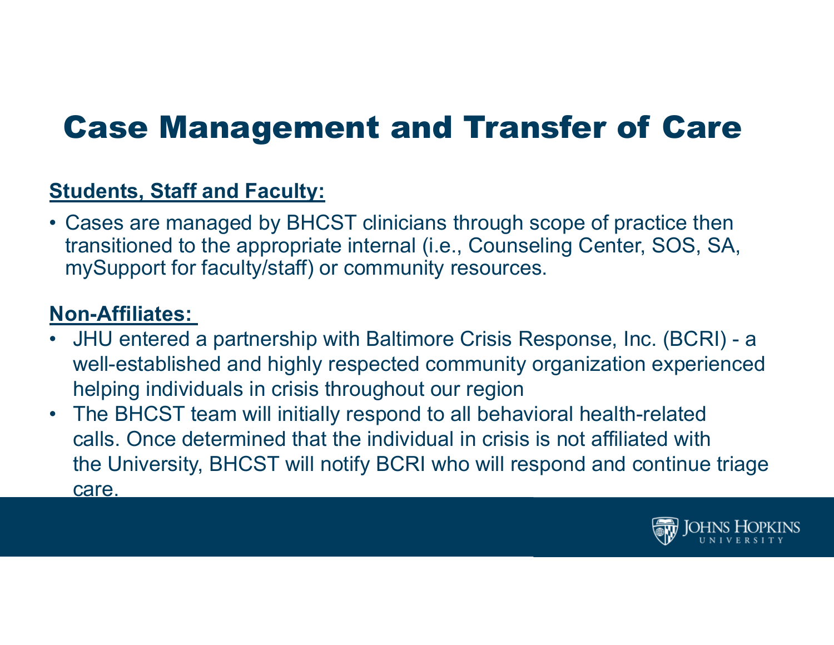### Case Management and Transfer of Care

### **Students, Staff and Faculty:**

• Cases are managed by BHCST clinicians through scope of practice then transitioned to the appropriate internal (i.e., Counseling Center, SOS, SA, mySupport for faculty/staff) or community resources.

### **Non-Affiliates:**

- • JHU entered a partnership with Baltimore Crisis Response, Inc. (BCRI) - <sup>a</sup> well-established and highly respected community organization experienced helping individuals in crisis throughout our region
- The BHCST team will initially respond to all behavioral health-related calls. Once determined that the individual in crisis is not affiliated with the University, BHCST will notify BCRI who will respond and continue triage care.

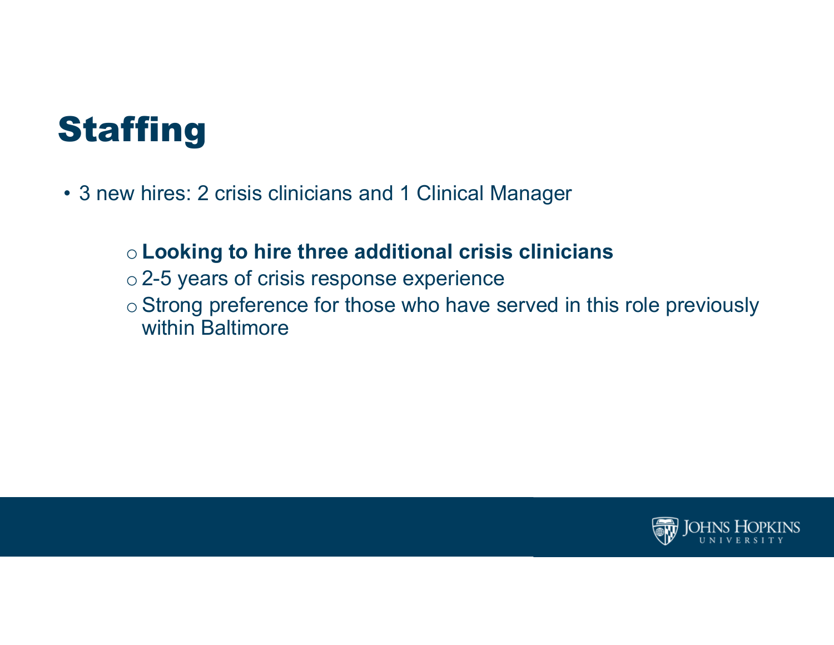## **Staffing**

• 3 new hires: 2 crisis clinicians and 1 Clinical Manager

### <sup>o</sup>**Looking to hire three additional crisis clinicians**

- $\circ$  2-5 years of crisis response experience
- o Strong preference for those who have served in this role previously within Baltimore

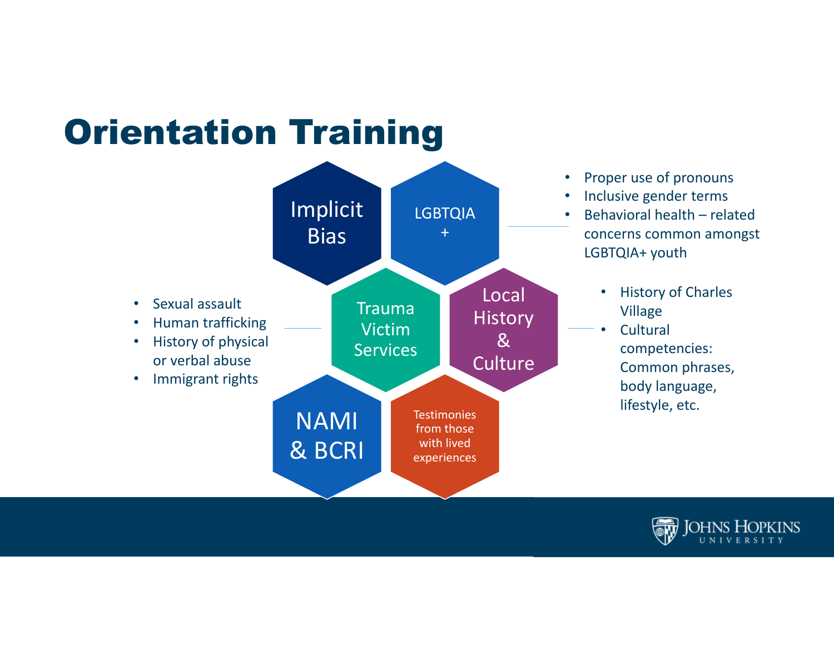### Orientation Training



- Proper use of pronouns
- Inclusive gender terms
- Behavioral health related concerns common amongst LGBTQIA+ youth
	- History of Charles Village
	- **Cultural** competencies: Common phrases, body language, lifestyle, etc.

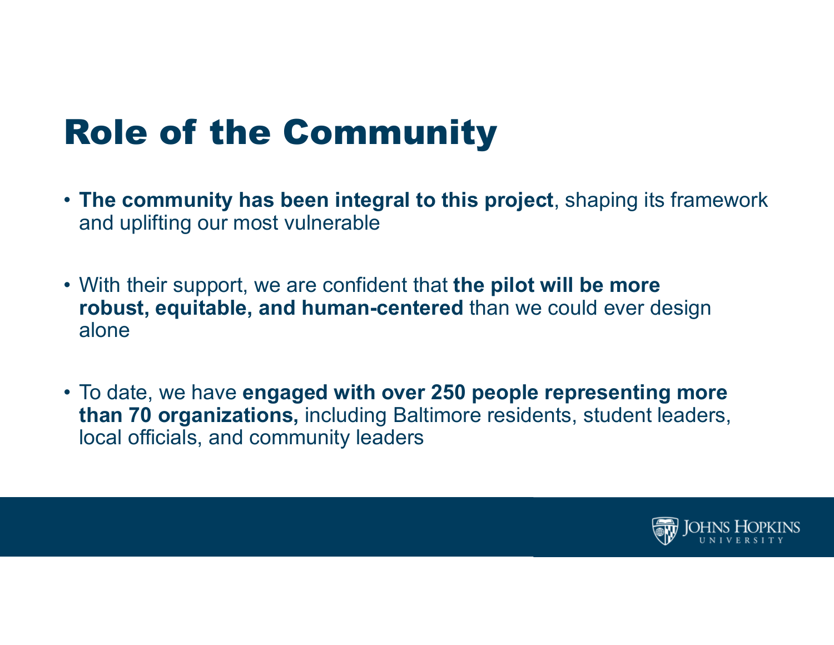## Role of the Community

- **The community has been integral to this project**, shaping its framework and uplifting our most vulnerable
- With their support, we are confident that **the pilot will be more robust, equitable, and human-centered** than we could ever design alone
- To date, we have **engaged with over 250 people representing more than 70 organizations,** including Baltimore residents, student leaders, local officials, and community leaders

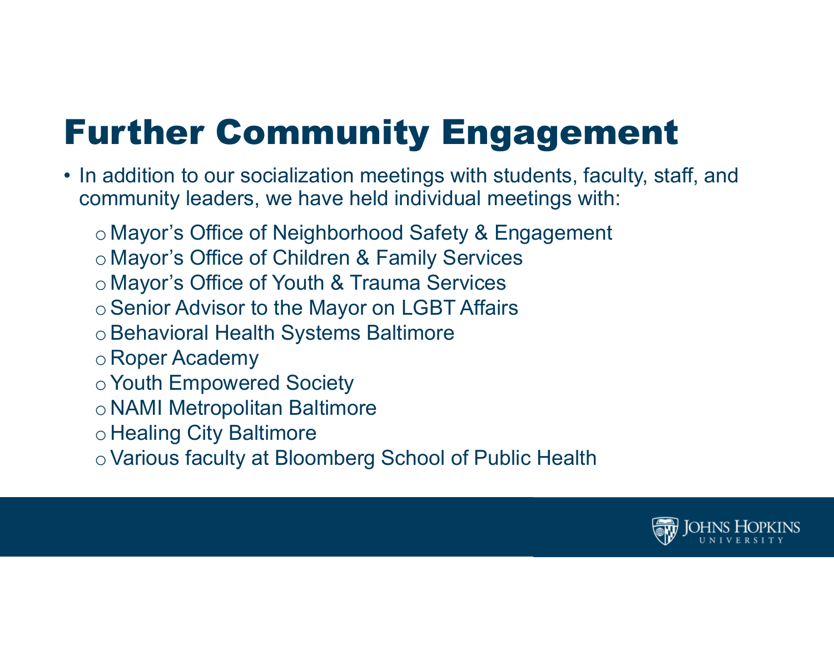# Further Community Engagement

- In addition to our socialization meetings with students, faculty, staff, and community leaders, we have held individual meetings with:
	- o Mayor's Office of Neighborhood Safety & Engagement
	- o Mayor's Office of Children & Family Services
	- o Mayor's Office of Youth & Trauma Services
	- o Senior Advisor to the Mayor on LGBT Affairs
	- o Behavioral Health Systems Baltimore
	- o Roper Academy
	- o Youth Empowered Society
	- o NAMI Metropolitan Baltimore
	- o Healing City Baltimore
	- oVarious faculty at Bloomberg School of Public Health

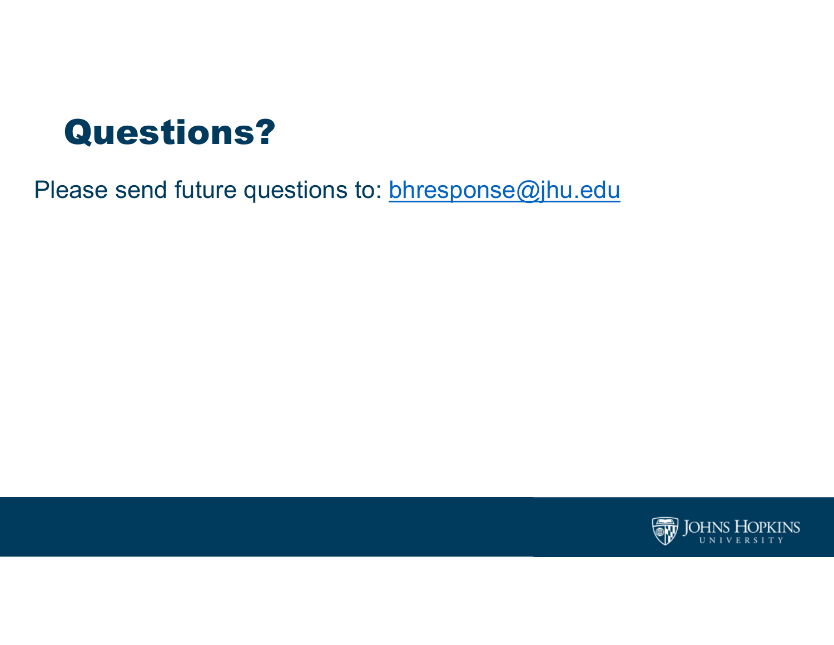### Questions?

Please send future questions to: **bhresponse@jhu.edu** 

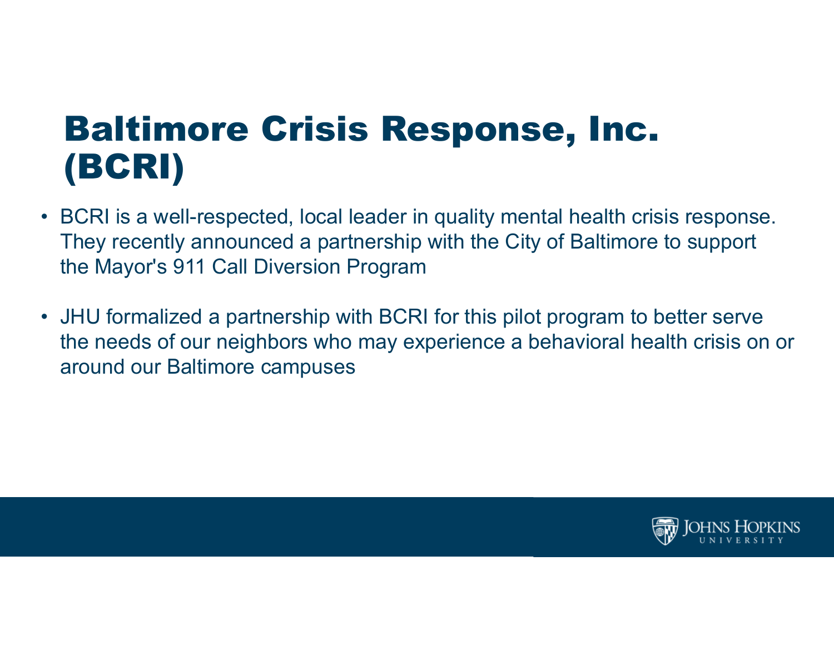### Baltimore Crisis Response, Inc. (BCRI)

- BCRI is a well-respected, local leader in quality mental health crisis response. They recently announced a partnership with the City of Baltimore to support the Mayor's 911 Call Diversion Program
- JHU formalized a partnership with BCRI for this pilot program to better serve the needs of our neighbors who may experience a behavioral health crisis on or around our Baltimore campuses

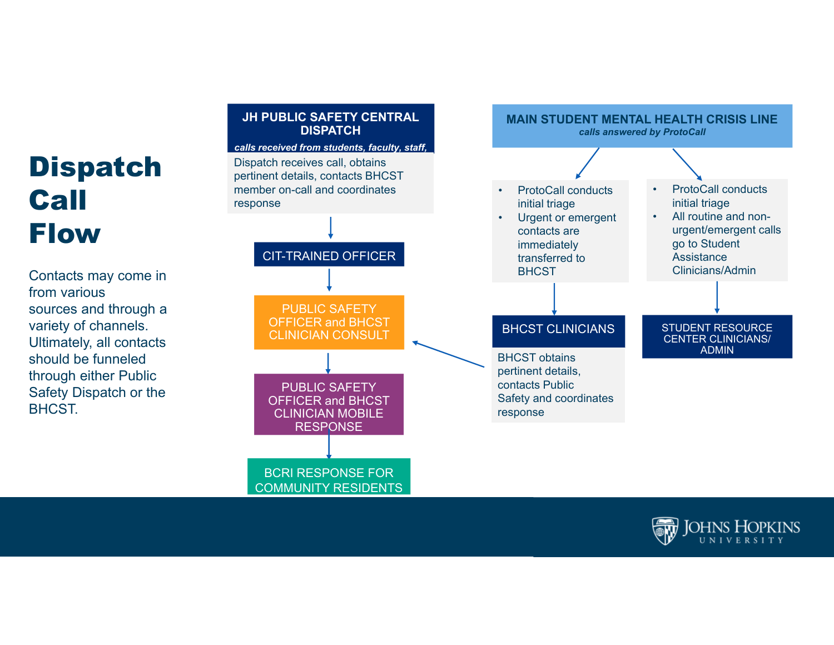### Dispatch Call Flow

Contacts may come in from various sources and through a variety of channels. Ultimately, all contacts should be funneled through either Public Safety Dispatch or the BHCST.

### **JH PUBLIC SAFETY CENTRAL DISPATCH**

### *calls received from students, faculty, staff,*

**Dispatch receives call, obtains** pertinent details, contacts BHCST member on-call and coordinates response

### CIT-TRAINED OFFICER

PUBLIC SAFETY OFFICER and BHCST CLINICIAN CONSULT

PUBLIC SAFETY OFFICER and BHCST CLINICIAN MOBILE **RESPONSE** BCRI RESPONSE FOR

COMMUNITY RESIDENTS



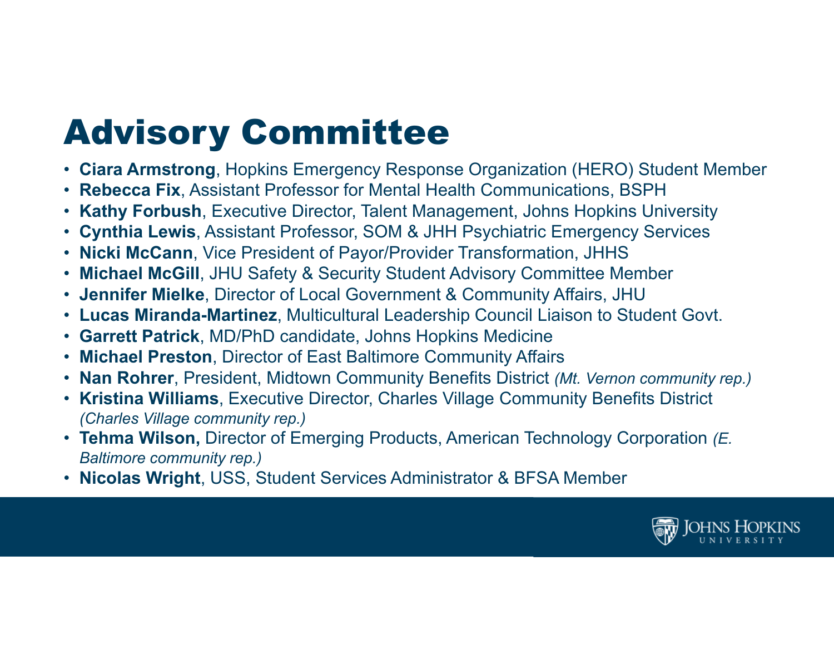# Advisory Committee

- **Ciara Armstrong**, Hopkins Emergency Response Organization (HERO) Student Member
- **Rebecca Fix**, Assistant Professor for Mental Health Communications, BSPH
- **Kathy Forbush**, Executive Director, Talent Management, Johns Hopkins University
- **Cynthia Lewis**, Assistant Professor, SOM & JHH Psychiatric Emergency Services
- **Nicki McCann**, Vice President of Payor/Provider Transformation, JHHS
- $\bullet$ **Michael McGill**, JHU Safety & Security Student Advisory Committee Member
- **Jennifer Mielke**, Director of Local Government & Community Affairs, JHU
- **Lucas Miranda-Martinez**, Multicultural Leadership Council Liaison to Student Govt.
- **Garrett Patrick**, MD/PhD candidate, Johns Hopkins Medicine
- **Michael Preston**, Director of East Baltimore Community Affairs
- **Nan Rohrer**, President, Midtown Community Benefits District *(Mt. Vernon community rep.)*
- **Kristina Williams**, Executive Director, Charles Village Community Benefits District *(Charles Village community rep.)*
- **Tehma Wilson,** Director of Emerging Products, American Technology Corporation *(E. Baltimore community rep.)*
- **Nicolas Wright**, USS, Student Services Administrator & BFSA Member

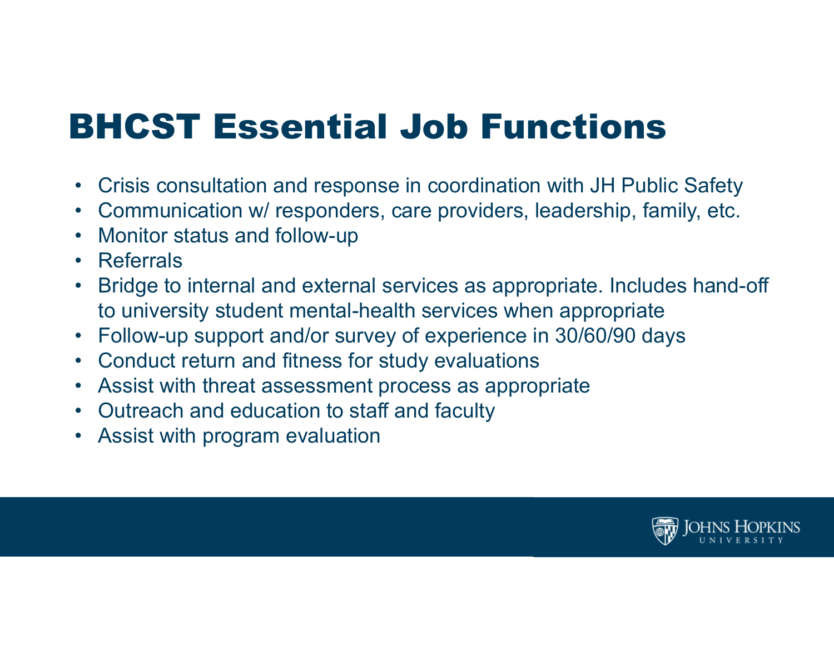## BHCST Essential Job Functions

- Crisis consultation and response in coordination with JH Public Safety
- Communication w/ responders, care providers, leadership, family, etc.
- $\bullet$ Monitor status and follow-up
- Referrals
- • Bridge to internal and external services as appropriate. Includes hand-off to university student mental-health services when appropriate
- $\bullet$ Follow-up support and/or survey of experience in 30/60/90 days
- Conduct return and fitness for study evaluations
- Assist with threat assessment process as appropriate
- Outreach and education to staff and faculty
- Assist with program evaluation

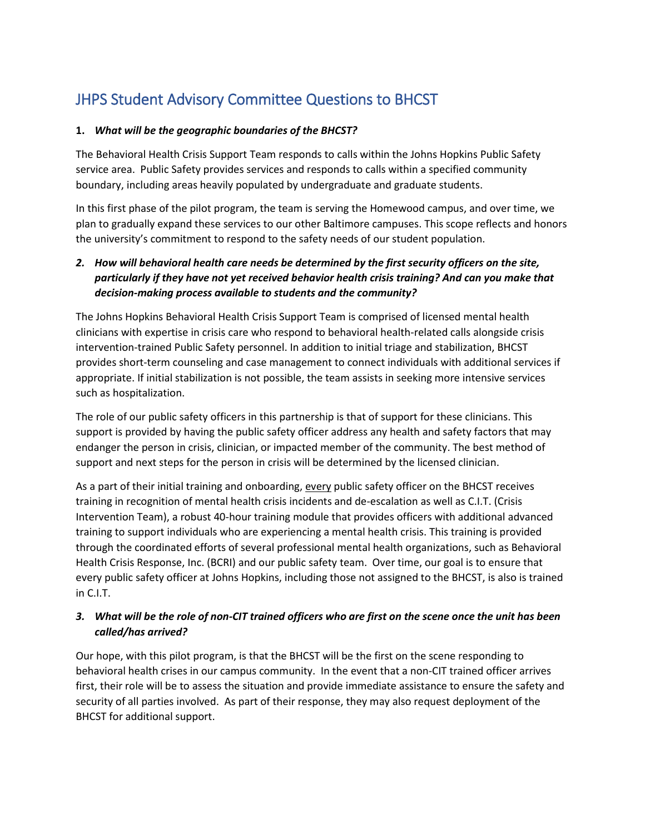### JHPS Student Advisory Committee Questions to BHCST

#### **1.** *What will be the geographic boundaries of the BHCST?*

The Behavioral Health Crisis Support Team responds to calls within the Johns Hopkins Public Safety service area. Public Safety provides services and responds to calls within a specified community boundary, including areas heavily populated by undergraduate and graduate students.

In this first phase of the pilot program, the team is serving the Homewood campus, and over time, we plan to gradually expand these services to our other Baltimore campuses. This scope reflects and honors the university's commitment to respond to the safety needs of our student population.

### *2. How will behavioral health care needs be determined by the first security officers on the site, particularly if they have not yet received behavior health crisis training? And can you make that decision-making process available to students and the community?*

The Johns Hopkins Behavioral Health Crisis Support Team is comprised of licensed mental health clinicians with expertise in crisis care who respond to behavioral health-related calls alongside crisis intervention-trained Public Safety personnel. In addition to initial triage and stabilization, BHCST provides short-term counseling and case management to connect individuals with additional services if appropriate. If initial stabilization is not possible, the team assists in seeking more intensive services such as hospitalization.

The role of our public safety officers in this partnership is that of support for these clinicians. This support is provided by having the public safety officer address any health and safety factors that may endanger the person in crisis, clinician, or impacted member of the community. The best method of support and next steps for the person in crisis will be determined by the licensed clinician.

As a part of their initial training and onboarding, every public safety officer on the BHCST receives training in recognition of mental health crisis incidents and de-escalation as well as C.I.T. (Crisis Intervention Team), a robust 40-hour training module that provides officers with additional advanced training to support individuals who are experiencing a mental health crisis. This training is provided through the coordinated efforts of several professional mental health organizations, such as Behavioral Health Crisis Response, Inc. (BCRI) and our public safety team. Over time, our goal is to ensure that every public safety officer at Johns Hopkins, including those not assigned to the BHCST, is also is trained in C.I.T.

#### *3. What will be the role of non-CIT trained officers who are first on the scene once the unit has been called/has arrived?*

Our hope, with this pilot program, is that the BHCST will be the first on the scene responding to behavioral health crises in our campus community. In the event that a non-CIT trained officer arrives first, their role will be to assess the situation and provide immediate assistance to ensure the safety and security of all parties involved. As part of their response, they may also request deployment of the BHCST for additional support.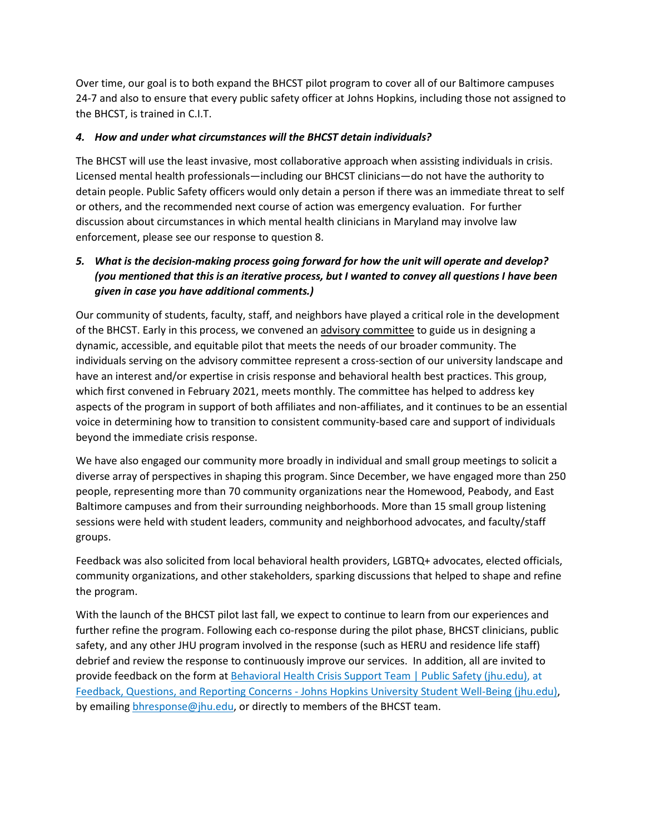Over time, our goal is to both expand the BHCST pilot program to cover all of our Baltimore campuses 24-7 and also to ensure that every public safety officer at Johns Hopkins, including those not assigned to the BHCST, is trained in C.I.T.

#### *4. How and under what circumstances will the BHCST detain individuals?*

The BHCST will use the least invasive, most collaborative approach when assisting individuals in crisis. Licensed mental health professionals—including our BHCST clinicians—do not have the authority to detain people. Public Safety officers would only detain a person if there was an immediate threat to self or others, and the recommended next course of action was emergency evaluation. For further discussion about circumstances in which mental health clinicians in Maryland may involve law enforcement, please see our response to question 8.

#### *5. What is the decision-making process going forward for how the unit will operate and develop? (you mentioned that this is an iterative process, but I wanted to convey all questions I have been given in case you have additional comments.)*

Our community of students, faculty, staff, and neighbors have played a critical role in the development of the BHCST. Early in this process, we convened a[n advisory committee](https://publicsafety.jhu.edu/behavioral-health-crisis-support-team/advisory-committee/) to guide us in designing a dynamic, accessible, and equitable pilot that meets the needs of our broader community. The individuals serving on the advisory committee represent a cross-section of our university landscape and have an interest and/or expertise in crisis response and behavioral health best practices. This group, which first convened in February 2021, meets monthly. The committee has helped to address key aspects of the program in support of both affiliates and non-affiliates, and it continues to be an essential voice in determining how to transition to consistent community-based care and support of individuals beyond the immediate crisis response.

We have also engaged our community more broadly in individual and small group meetings to solicit a diverse array of perspectives in shaping this program. Since December, we have engaged more than 250 people, representing more than 70 community organizations near the Homewood, Peabody, and East Baltimore campuses and from their surrounding neighborhoods. More than 15 small group listening sessions were held with student leaders, community and neighborhood advocates, and faculty/staff groups.

Feedback was also solicited from local behavioral health providers, LGBTQ+ advocates, elected officials, community organizations, and other stakeholders, sparking discussions that helped to shape and refine the program.

With the launch of the BHCST pilot last fall, we expect to continue to learn from our experiences and further refine the program. Following each co-response during the pilot phase, BHCST clinicians, public safety, and any other JHU program involved in the response (such as HERU and residence life staff) debrief and review the response to continuously improve our services. In addition, all are invited to provide feedback on the form at [Behavioral Health Crisis Support Team | Public Safety \(jhu.edu\),](https://publicsafety.jhu.edu/behavioral-health-crisis-support-team/) at Feedback, Questions, and Reporting Concerns - [Johns Hopkins University Student Well-Being \(jhu.edu\),](https://wellbeing.jhu.edu/feedback-questions-concerns/) by emailing [bhresponse@jhu.edu,](mailto:bhresponse@jhu.edu) or directly to members of the BHCST team.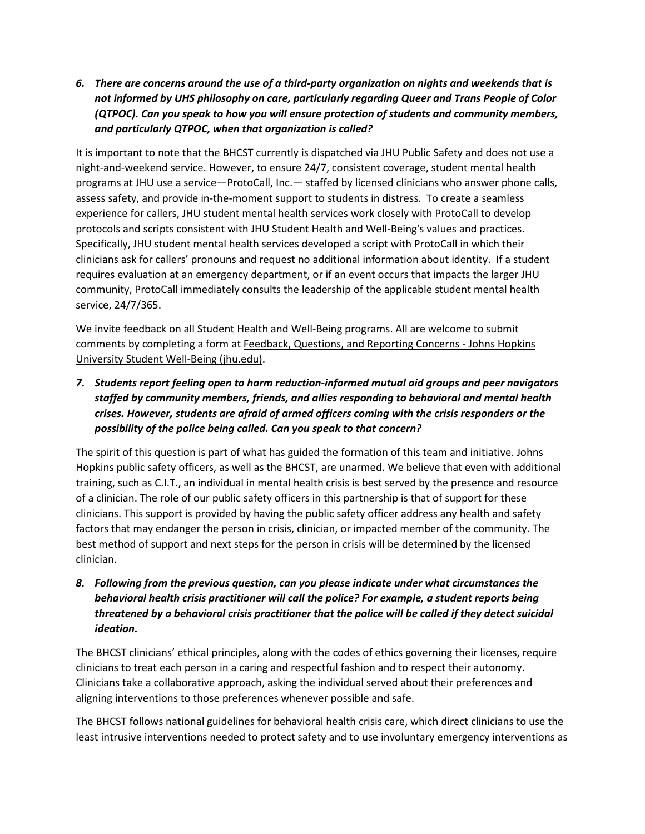*6. There are concerns around the use of a third-party organization on nights and weekends that is not informed by UHS philosophy on care, particularly regarding Queer and Trans People of Color (QTPOC). Can you speak to how you will ensure protection of students and community members, and particularly QTPOC, when that organization is called?*

It is important to note that the BHCST currently is dispatched via JHU Public Safety and does not use a night-and-weekend service. However, to ensure 24/7, consistent coverage, student mental health programs at JHU use a service—ProtoCall, Inc.— staffed by licensed clinicians who answer phone calls, assess safety, and provide in-the-moment support to students in distress. To create a seamless experience for callers, JHU student mental health services work closely with ProtoCall to develop protocols and scripts consistent with JHU Student Health and Well-Being's values and practices. Specifically, JHU student mental health services developed a script with ProtoCall in which their clinicians ask for callers' pronouns and request no additional information about identity. If a student requires evaluation at an emergency department, or if an event occurs that impacts the larger JHU community, ProtoCall immediately consults the leadership of the applicable student mental health service, 24/7/365.

We invite feedback on all Student Health and Well-Being programs. All are welcome to submit comments by completing a form at [Feedback, Questions, and Reporting Concerns -](https://wellbeing.jhu.edu/feedback-questions-concerns/) Johns Hopkins [University Student Well-Being \(jhu.edu\).](https://wellbeing.jhu.edu/feedback-questions-concerns/)

*7. Students report feeling open to harm reduction-informed mutual aid groups and peer navigators staffed by community members, friends, and allies responding to behavioral and mental health crises. However, students are afraid of armed officers coming with the crisis responders or the possibility of the police being called. Can you speak to that concern?*

The spirit of this question is part of what has guided the formation of this team and initiative. Johns Hopkins public safety officers, as well as the BHCST, are unarmed. We believe that even with additional training, such as C.I.T., an individual in mental health crisis is best served by the presence and resource of a clinician. The role of our public safety officers in this partnership is that of support for these clinicians. This support is provided by having the public safety officer address any health and safety factors that may endanger the person in crisis, clinician, or impacted member of the community. The best method of support and next steps for the person in crisis will be determined by the licensed clinician.

*8. Following from the previous question, can you please indicate under what circumstances the behavioral health crisis practitioner will call the police? For example, a student reports being threatened by a behavioral crisis practitioner that the police will be called if they detect suicidal ideation.* 

The BHCST clinicians' ethical principles, along with the codes of ethics governing their licenses, require clinicians to treat each person in a caring and respectful fashion and to respect their autonomy. Clinicians take a collaborative approach, asking the individual served about their preferences and aligning interventions to those preferences whenever possible and safe.

The BHCST follows national guidelines for behavioral health crisis care, which direct clinicians to use the least intrusive interventions needed to protect safety and to use involuntary emergency interventions as